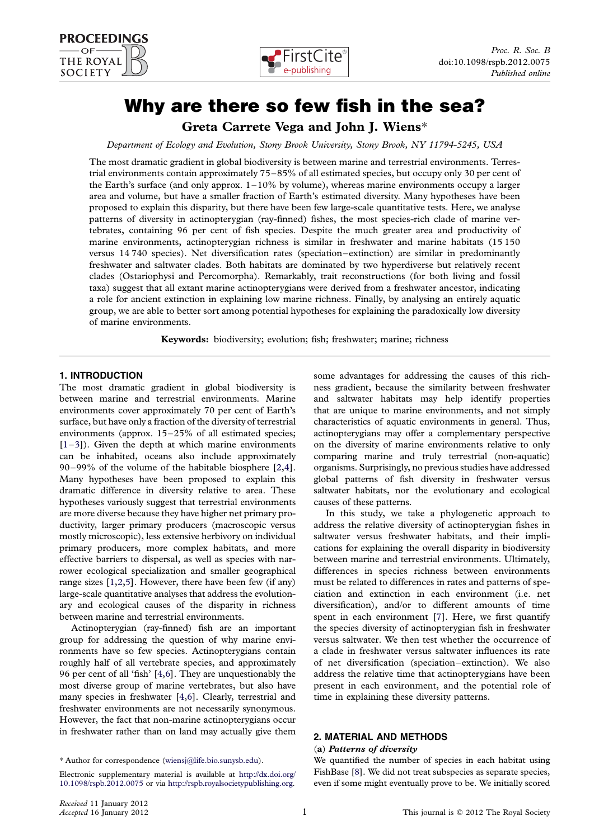



# Why are there so few fish in the sea?

Greta Carrete Vega and John J. Wiens\*

Department of Ecology and Evolution, Stony Brook University, Stony Brook, NY 11794-5245, USA

The most dramatic gradient in global biodiversity is between marine and terrestrial environments. Terrestrial environments contain approximately 75–85% of all estimated species, but occupy only 30 per cent of the Earth's surface (and only approx.  $1-10\%$  by volume), whereas marine environments occupy a larger area and volume, but have a smaller fraction of Earth's estimated diversity. Many hypotheses have been proposed to explain this disparity, but there have been few large-scale quantitative tests. Here, we analyse patterns of diversity in actinopterygian (ray-finned) fishes, the most species-rich clade of marine vertebrates, containing 96 per cent of fish species. Despite the much greater area and productivity of marine environments, actinopterygian richness is similar in freshwater and marine habitats (15 150 versus 14 740 species). Net diversification rates (speciation–extinction) are similar in predominantly freshwater and saltwater clades. Both habitats are dominated by two hyperdiverse but relatively recent clades (Ostariophysi and Percomorpha). Remarkably, trait reconstructions (for both living and fossil taxa) suggest that all extant marine actinopterygians were derived from a freshwater ancestor, indicating a role for ancient extinction in explaining low marine richness. Finally, by analysing an entirely aquatic group, we are able to better sort among potential hypotheses for explaining the paradoxically low diversity of marine environments.

Keywords: biodiversity; evolution; fish; freshwater; marine; richness

## 1. INTRODUCTION

The most dramatic gradient in global biodiversity is between marine and terrestrial environments. Marine environments cover approximately 70 per cent of Earth's surface, but have only a fraction of the diversity of terrestrial environments (approx. 15–25% of all estimated species;  $[1-3]$  $[1-3]$  $[1-3]$  $[1-3]$ ). Given the depth at which marine environments can be inhabited, oceans also include approximately 90–99% of the volume of the habitable biosphere [\[2,4](#page-5-0)]. Many hypotheses have been proposed to explain this dramatic difference in diversity relative to area. These hypotheses variously suggest that terrestrial environments are more diverse because they have higher net primary productivity, larger primary producers (macroscopic versus mostly microscopic), less extensive herbivory on individual primary producers, more complex habitats, and more effective barriers to dispersal, as well as species with narrower ecological specialization and smaller geographical range sizes [[1](#page-5-0),[2,5\]](#page-5-0). However, there have been few (if any) large-scale quantitative analyses that address the evolutionary and ecological causes of the disparity in richness between marine and terrestrial environments.

Actinopterygian (ray-finned) fish are an important group for addressing the question of why marine environments have so few species. Actinopterygians contain roughly half of all vertebrate species, and approximately 96 per cent of all 'fish' [[4,6\]](#page-5-0). They are unquestionably the most diverse group of marine vertebrates, but also have many species in freshwater [[4,6\]](#page-5-0). Clearly, terrestrial and freshwater environments are not necessarily synonymous. However, the fact that non-marine actinopterygians occur in freshwater rather than on land may actually give them

\* Author for correspondence ([wiensj@life.bio.sunysb.edu\)](mailto:wiensj@life.bio.sunysb.edu).

Electronic supplementary material is available at [http://dx.doi.org/](http://dx.doi.org/10.1098/rspb.2012.0075) [10.1098/rspb.2012.0075](http://dx.doi.org/10.1098/rspb.2012.0075) or via <http://rspb.royalsocietypublishing.org>.

some advantages for addressing the causes of this richness gradient, because the similarity between freshwater and saltwater habitats may help identify properties that are unique to marine environments, and not simply characteristics of aquatic environments in general. Thus, actinopterygians may offer a complementary perspective on the diversity of marine environments relative to only comparing marine and truly terrestrial (non-aquatic) organisms. Surprisingly, no previous studies have addressed global patterns of fish diversity in freshwater versus saltwater habitats, nor the evolutionary and ecological causes of these patterns.

In this study, we take a phylogenetic approach to address the relative diversity of actinopterygian fishes in saltwater versus freshwater habitats, and their implications for explaining the overall disparity in biodiversity between marine and terrestrial environments. Ultimately, differences in species richness between environments must be related to differences in rates and patterns of speciation and extinction in each environment (i.e. net diversification), and/or to different amounts of time spent in each environment [\[7\]](#page-5-0). Here, we first quantify the species diversity of actinopterygian fish in freshwater versus saltwater. We then test whether the occurrence of a clade in freshwater versus saltwater influences its rate of net diversification (speciation–extinction). We also address the relative time that actinopterygians have been present in each environment, and the potential role of time in explaining these diversity patterns.

## 2. MATERIAL AND METHODS

#### (a) Patterns of diversity

We quantified the number of species in each habitat using FishBase [\[8](#page-5-0)]. We did not treat subspecies as separate species, even if some might eventually prove to be. We initially scored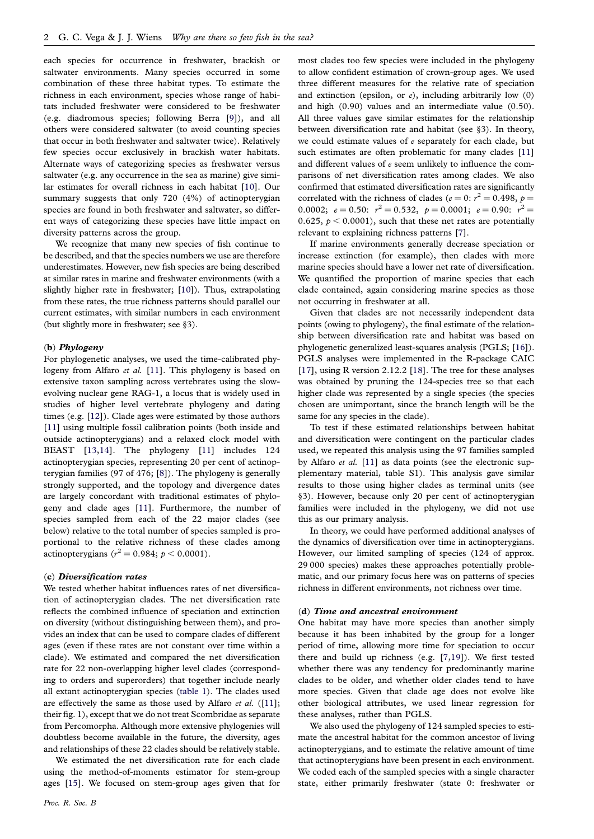each species for occurrence in freshwater, brackish or saltwater environments. Many species occurred in some combination of these three habitat types. To estimate the richness in each environment, species whose range of habitats included freshwater were considered to be freshwater (e.g. diadromous species; following Berra [[9\]](#page-5-0)), and all others were considered saltwater (to avoid counting species that occur in both freshwater and saltwater twice). Relatively few species occur exclusively in brackish water habitats. Alternate ways of categorizing species as freshwater versus saltwater (e.g. any occurrence in the sea as marine) give similar estimates for overall richness in each habitat [\[10](#page-5-0)]. Our summary suggests that only 720 (4%) of actinopterygian species are found in both freshwater and saltwater, so different ways of categorizing these species have little impact on diversity patterns across the group.

We recognize that many new species of fish continue to be described, and that the species numbers we use are therefore underestimates. However, new fish species are being described at similar rates in marine and freshwater environments (with a slightly higher rate in freshwater; [\[10](#page-5-0)]). Thus, extrapolating from these rates, the true richness patterns should parallel our current estimates, with similar numbers in each environment (but slightly more in freshwater; see §3).

## (b) Phylogeny

For phylogenetic analyses, we used the time-calibrated phy-logeny from Alfaro et al. [\[11\]](#page-5-0). This phylogeny is based on extensive taxon sampling across vertebrates using the slowevolving nuclear gene RAG-1, a locus that is widely used in studies of higher level vertebrate phylogeny and dating times (e.g. [\[12](#page-5-0)]). Clade ages were estimated by those authors [\[11](#page-5-0)] using multiple fossil calibration points (both inside and outside actinopterygians) and a relaxed clock model with BEAST [\[13](#page-5-0),[14\]](#page-5-0). The phylogeny [\[11\]](#page-5-0) includes 124 actinopterygian species, representing 20 per cent of actinopterygian families (97 of 476; [[8\]](#page-5-0)). The phylogeny is generally strongly supported, and the topology and divergence dates are largely concordant with traditional estimates of phylogeny and clade ages [[11\]](#page-5-0). Furthermore, the number of species sampled from each of the 22 major clades (see below) relative to the total number of species sampled is proportional to the relative richness of these clades among actinopterygians ( $r^2 = 0.984; p < 0.0001$ ).

#### (c) Diversification rates

We tested whether habitat influences rates of net diversification of actinopterygian clades. The net diversification rate reflects the combined influence of speciation and extinction on diversity (without distinguishing between them), and provides an index that can be used to compare clades of different ages (even if these rates are not constant over time within a clade). We estimated and compared the net diversification rate for 22 non-overlapping higher level clades (corresponding to orders and superorders) that together include nearly all extant actinopterygian species [\(table 1](#page-2-0)). The clades used are effectively the same as those used by Alfaro et al.  $([11];$  $([11];$  $([11];$ their fig. 1), except that we do not treat Scombridae as separate from Percomorpha. Although more extensive phylogenies will doubtless become available in the future, the diversity, ages and relationships of these 22 clades should be relatively stable.

We estimated the net diversification rate for each clade using the method-of-moments estimator for stem-group ages [\[15](#page-5-0)]. We focused on stem-group ages given that for most clades too few species were included in the phylogeny to allow confident estimation of crown-group ages. We used three different measures for the relative rate of speciation and extinction (epsilon, or  $e$ ), including arbitrarily low (0) and high (0.90) values and an intermediate value (0.50). All three values gave similar estimates for the relationship between diversification rate and habitat (see §3). In theory, we could estimate values of  $e$  separately for each clade, but such estimates are often problematic for many clades [\[11](#page-5-0)] and different values of  $e$  seem unlikely to influence the comparisons of net diversification rates among clades. We also confirmed that estimated diversification rates are significantly correlated with the richness of clades ( $e = 0$ :  $r^2 = 0.498$ ,  $p =$ 0.0002;  $e = 0.50$ :  $r^2 = 0.532$ ,  $p = 0.0001$ ;  $e = 0.90$ :  $r^2 =$ 0.625,  $p < 0.0001$ ), such that these net rates are potentially relevant to explaining richness patterns [\[7](#page-5-0)].

If marine environments generally decrease speciation or increase extinction (for example), then clades with more marine species should have a lower net rate of diversification. We quantified the proportion of marine species that each clade contained, again considering marine species as those not occurring in freshwater at all.

Given that clades are not necessarily independent data points (owing to phylogeny), the final estimate of the relationship between diversification rate and habitat was based on phylogenetic generalized least-squares analysis (PGLS; [[16](#page-5-0)]). PGLS analyses were implemented in the R-package CAIC [\[17\]](#page-5-0), using R version 2.12.2 [[18\]](#page-5-0). The tree for these analyses was obtained by pruning the 124-species tree so that each higher clade was represented by a single species (the species chosen are unimportant, since the branch length will be the same for any species in the clade).

To test if these estimated relationships between habitat and diversification were contingent on the particular clades used, we repeated this analysis using the 97 families sampled by Alfaro et al. [[11\]](#page-5-0) as data points (see the electronic supplementary material, table S1). This analysis gave similar results to those using higher clades as terminal units (see §3). However, because only 20 per cent of actinopterygian families were included in the phylogeny, we did not use this as our primary analysis.

In theory, we could have performed additional analyses of the dynamics of diversification over time in actinopterygians. However, our limited sampling of species (124 of approx. 29 000 species) makes these approaches potentially problematic, and our primary focus here was on patterns of species richness in different environments, not richness over time.

#### (d) Time and ancestral environment

One habitat may have more species than another simply because it has been inhabited by the group for a longer period of time, allowing more time for speciation to occur there and build up richness (e.g. [\[7](#page-5-0),[19\]](#page-5-0)). We first tested whether there was any tendency for predominantly marine clades to be older, and whether older clades tend to have more species. Given that clade age does not evolve like other biological attributes, we used linear regression for these analyses, rather than PGLS.

We also used the phylogeny of 124 sampled species to estimate the ancestral habitat for the common ancestor of living actinopterygians, and to estimate the relative amount of time that actinopterygians have been present in each environment. We coded each of the sampled species with a single character state, either primarily freshwater (state 0: freshwater or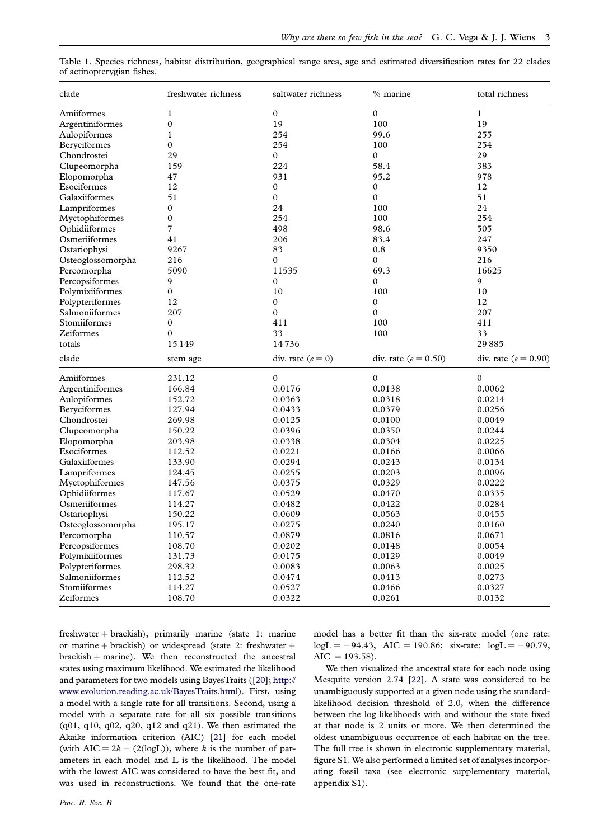| clade             | freshwater richness | saltwater richness  | % marine                 | total richness           |
|-------------------|---------------------|---------------------|--------------------------|--------------------------|
| Amiiformes        | $\mathbf 1$         | $\mathbf{0}$        | $\boldsymbol{0}$         | $\mathbf{1}$             |
| Argentiniformes   | $\boldsymbol{0}$    | 19                  | 100                      | 19                       |
| Aulopiformes      | 1                   | 254                 | 99.6                     | 255                      |
| Beryciformes      | 0                   | 254                 | 100                      | 254                      |
| Chondrostei       | 29                  | $\mathbf{0}$        | $\boldsymbol{0}$         | 29                       |
| Clupeomorpha      | 159                 | 224                 | 58.4                     | 383                      |
| Elopomorpha       | 47                  | 931                 | 95.2                     | 978                      |
| Esociformes       | 12                  | $\boldsymbol{0}$    | $\boldsymbol{0}$         | 12                       |
| Galaxiiformes     | 51                  | $\boldsymbol{0}$    | $\mathbf{0}$             | 51                       |
| Lampriformes      | $\mathbf{0}$        | 24                  | 100                      | 24                       |
| Myctophiformes    | 0                   | 254                 | 100                      | 254                      |
| Ophidiiformes     | 7                   | 498                 | 98.6                     | 505                      |
| Osmeriiformes     | 41                  | 206                 | 83.4                     | 247                      |
| Ostariophysi      | 9267                | 83                  | $0.8\,$                  | 9350                     |
| Osteoglossomorpha | 216                 | $\mathbf{0}$        | $\mathbf{0}$             | 216                      |
| Percomorpha       | 5090                | 11535               | 69.3                     | 16625                    |
| Percopsiformes    | 9                   | $\mathbf{0}$        | $\mathbf{0}$             | 9                        |
| Polymixiiformes   | $\boldsymbol{0}$    | 10                  | 100                      | 10                       |
| Polypteriformes   | 12                  | $\boldsymbol{0}$    | $\boldsymbol{0}$         | 12                       |
| Salmoniiformes    | 207                 | $\boldsymbol{0}$    | 0                        | 207                      |
| Stomiiformes      | $\mathbf{0}$        | 411                 | 100                      | 411                      |
| Zeiformes         | 0                   | 33                  | 100                      | 33                       |
| totals            | 15 1 49             | 14736               |                          | 29885                    |
| clade             | stem age            | div. rate $(e = 0)$ | div. rate ( $e = 0.50$ ) | div. rate ( $e = 0.90$ ) |
| Amiiformes        | 231.12              | $\mathbf{0}$        | $\mathbf{0}$             | $\boldsymbol{0}$         |
| Argentiniformes   | 166.84              | 0.0176              | 0.0138                   | 0.0062                   |
| Aulopiformes      | 152.72              | 0.0363              | 0.0318                   | 0.0214                   |
| Beryciformes      | 127.94              | 0.0433              | 0.0379                   | 0.0256                   |
| Chondrostei       | 269.98              | 0.0125              | 0.0100                   | 0.0049                   |
| Clupeomorpha      | 150.22              | 0.0396              | 0.0350                   | 0.0244                   |
| Elopomorpha       | 203.98              | 0.0338              | 0.0304                   | 0.0225                   |
| Esociformes       | 112.52              | 0.0221              | 0.0166                   | 0.0066                   |
| Galaxiiformes     | 133.90              | 0.0294              | 0.0243                   | 0.0134                   |
| Lampriformes      | 124.45              | 0.0255              | 0.0203                   | 0.0096                   |
| Myctophiformes    | 147.56              | 0.0375              | 0.0329                   | 0.0222                   |
| Ophidiiformes     | 117.67              | 0.0529              | 0.0470                   | 0.0335                   |
| Osmeriiformes     | 114.27              | 0.0482              | 0.0422                   | 0.0284                   |
| Ostariophysi      | 150.22              | 0.0609              | 0.0563                   | 0.0455                   |
| Osteoglossomorpha | 195.17              | 0.0275              | 0.0240                   | 0.0160                   |
| Percomorpha       | 110.57              | 0.0879              | 0.0816                   | 0.0671                   |
| Percopsiformes    | 108.70              | 0.0202              | 0.0148                   | 0.0054                   |
| Polymixiiformes   | 131.73              | 0.0175              | 0.0129                   | 0.0049                   |
| Polypteriformes   | 298.32              | 0.0083              | 0.0063                   | 0.0025                   |
| Salmoniiformes    | 112.52              | 0.0474              | 0.0413                   | 0.0273                   |
| Stomiiformes      | 114.27              | 0.0527              | 0.0466                   | 0.0327                   |
| Zeiformes         | 108.70              | 0.0322              | 0.0261                   | 0.0132                   |

<span id="page-2-0"></span>Table 1. Species richness, habitat distribution, geographical range area, age and estimated diversification rates for 22 clades of actinopterygian fishes.

freshwater + brackish), primarily marine (state 1: marine or marine + brackish) or widespread (state 2: freshwater +  $brackish + marine$ ). We then reconstructed the ancestral states using maximum likelihood. We estimated the likelihood and parameters for two models using BayesTraits ([\[20\]](#page-5-0); [http://](http://www.evolution.reading.ac.uk/BayesTraits.html) [www.evolution.reading.ac.uk/BayesTraits.html\)](http://www.evolution.reading.ac.uk/BayesTraits.html). First, using a model with a single rate for all transitions. Second, using a model with a separate rate for all six possible transitions  $(q01, q10, q02, q20, q12, q12)$  and  $q21$ ). We then estimated the Akaike information criterion (AIC) [[21\]](#page-5-0) for each model (with AIC =  $2k - (2(\text{log}L))$ , where k is the number of parameters in each model and L is the likelihood. The model with the lowest AIC was considered to have the best fit, and was used in reconstructions. We found that the one-rate

model has a better fit than the six-rate model (one rate:  $log L = -94.43$ , AIC = 190.86; six-rate:  $log L = -90.79$ ,  $AIC = 193.58$ .

We then visualized the ancestral state for each node using Mesquite version 2.74 [\[22](#page-5-0)]. A state was considered to be unambiguously supported at a given node using the standardlikelihood decision threshold of 2.0, when the difference between the log likelihoods with and without the state fixed at that node is 2 units or more. We then determined the oldest unambiguous occurrence of each habitat on the tree. The full tree is shown in electronic supplementary material, figure S1. We also performed a limited set of analyses incorporating fossil taxa (see electronic supplementary material, appendix S1).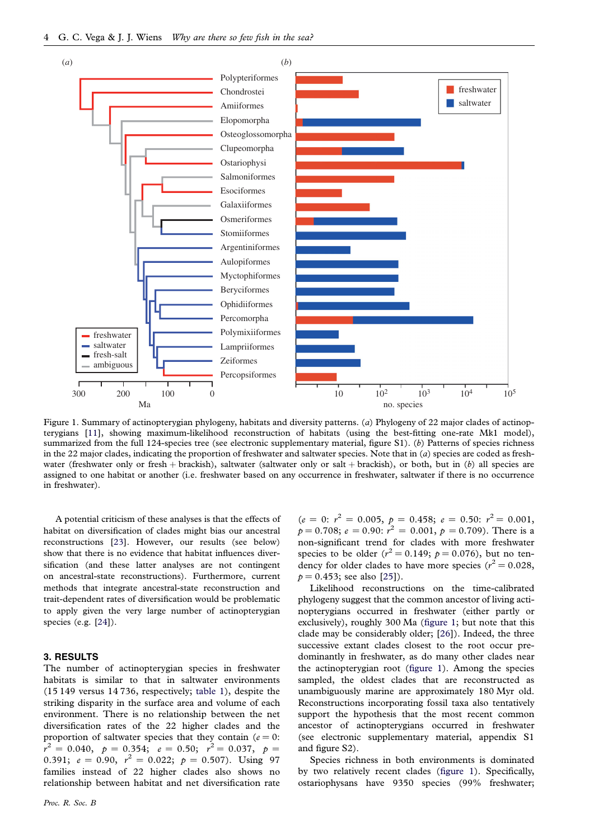<span id="page-3-0"></span>

Figure 1. Summary of actinopterygian phylogeny, habitats and diversity patterns. (a) Phylogeny of 22 major clades of actinopterygians [\[11](#page-5-0)], showing maximum-likelihood reconstruction of habitats (using the best-fitting one-rate Mk1 model), summarized from the full 124-species tree (see electronic supplementary material, figure S1). (b) Patterns of species richness in the 22 major clades, indicating the proportion of freshwater and saltwater species. Note that in  $(a)$  species are coded as freshwater (freshwater only or fresh + brackish), saltwater (saltwater only or salt + brackish), or both, but in (b) all species are assigned to one habitat or another (i.e. freshwater based on any occurrence in freshwater, saltwater if there is no occurrence in freshwater).

A potential criticism of these analyses is that the effects of habitat on diversification of clades might bias our ancestral reconstructions [[23\]](#page-5-0). However, our results (see below) show that there is no evidence that habitat influences diversification (and these latter analyses are not contingent on ancestral-state reconstructions). Furthermore, current methods that integrate ancestral-state reconstruction and trait-dependent rates of diversification would be problematic to apply given the very large number of actinopterygian species (e.g. [[24\]](#page-5-0)).

### 3. RESULTS

The number of actinopterygian species in freshwater habitats is similar to that in saltwater environments (15 149 versus 14 736, respectively; [table 1](#page-2-0)), despite the striking disparity in the surface area and volume of each environment. There is no relationship between the net diversification rates of the 22 higher clades and the proportion of saltwater species that they contain ( $e = 0$ :  $\bar{r}^2 = 0.040,~~ p = 0.354;~~ e = 0.50; ~~ r^2 = 0.037, ~~ p = 0.040, ~~ p = 0.037.$ 0.391;  $e = 0.90$ ,  $r^2 = 0.022$ ;  $p = 0.507$ ). Using 97 families instead of 22 higher clades also shows no relationship between habitat and net diversification rate

 $(e = 0; r^2 = 0.005, p = 0.458; e = 0.50; r^2 = 0.001,$  $p = 0.708; e = 0.90; r^2 = 0.001, p = 0.709$ ). There is a non-significant trend for clades with more freshwater species to be older ( $r^2 = 0.149$ ;  $p = 0.076$ ), but no tendency for older clades to have more species ( $r^2 = 0.028$ ,  $p = 0.453$ ; see also [[25](#page-5-0)]).

Likelihood reconstructions on the time-calibrated phylogeny suggest that the common ancestor of living actinopterygians occurred in freshwater (either partly or exclusively), roughly 300 Ma (figure 1; but note that this clade may be considerably older; [\[26](#page-5-0)]). Indeed, the three successive extant clades closest to the root occur predominantly in freshwater, as do many other clades near the actinopterygian root (figure 1). Among the species sampled, the oldest clades that are reconstructed as unambiguously marine are approximately 180 Myr old. Reconstructions incorporating fossil taxa also tentatively support the hypothesis that the most recent common ancestor of actinopterygians occurred in freshwater (see electronic supplementary material, appendix S1 and figure S2).

Species richness in both environments is dominated by two relatively recent clades (figure 1). Specifically, ostariophysans have 9350 species (99% freshwater;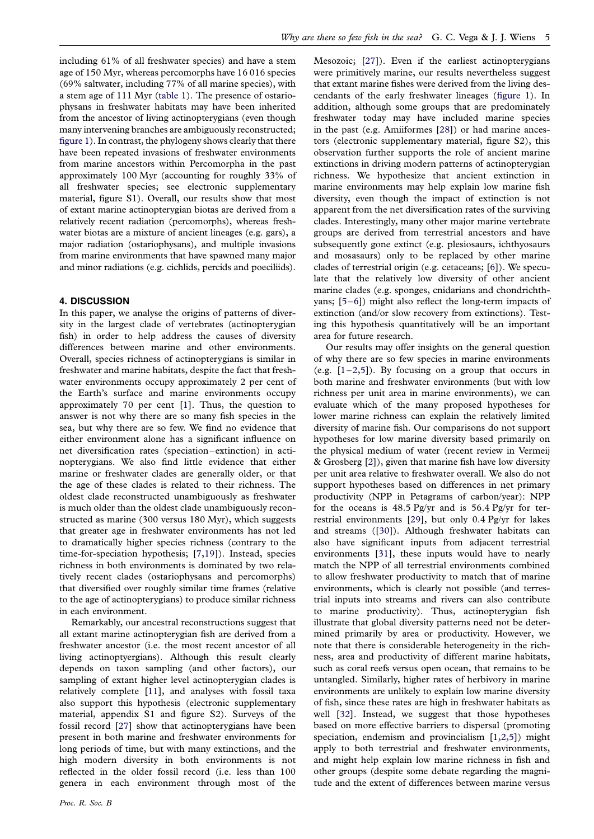including 61% of all freshwater species) and have a stem age of 150 Myr, whereas percomorphs have 16 016 species (69% saltwater, including 77% of all marine species), with a stem age of 111 Myr ([table 1\)](#page-2-0). The presence of ostariophysans in freshwater habitats may have been inherited from the ancestor of living actinopterygians (even though many intervening branches are ambiguously reconstructed; [figure 1\)](#page-3-0). In contrast, the phylogeny shows clearly that there have been repeated invasions of freshwater environments from marine ancestors within Percomorpha in the past approximately 100 Myr (accounting for roughly 33% of all freshwater species; see electronic supplementary material, figure S1). Overall, our results show that most of extant marine actinopterygian biotas are derived from a relatively recent radiation (percomorphs), whereas freshwater biotas are a mixture of ancient lineages (e.g. gars), a major radiation (ostariophysans), and multiple invasions from marine environments that have spawned many major and minor radiations (e.g. cichlids, percids and poeciliids).

### 4. DISCUSSION

In this paper, we analyse the origins of patterns of diversity in the largest clade of vertebrates (actinopterygian fish) in order to help address the causes of diversity differences between marine and other environments. Overall, species richness of actinopterygians is similar in freshwater and marine habitats, despite the fact that freshwater environments occupy approximately 2 per cent of the Earth's surface and marine environments occupy approximately 70 per cent [\[1\]](#page-5-0). Thus, the question to answer is not why there are so many fish species in the sea, but why there are so few. We find no evidence that either environment alone has a significant influence on net diversification rates (speciation–extinction) in actinopterygians. We also find little evidence that either marine or freshwater clades are generally older, or that the age of these clades is related to their richness. The oldest clade reconstructed unambiguously as freshwater is much older than the oldest clade unambiguously reconstructed as marine (300 versus 180 Myr), which suggests that greater age in freshwater environments has not led to dramatically higher species richness (contrary to the time-for-speciation hypothesis; [[7](#page-5-0),[19](#page-5-0)]). Instead, species richness in both environments is dominated by two relatively recent clades (ostariophysans and percomorphs) that diversified over roughly similar time frames (relative to the age of actinopterygians) to produce similar richness in each environment.

Remarkably, our ancestral reconstructions suggest that all extant marine actinopterygian fish are derived from a freshwater ancestor (i.e. the most recent ancestor of all living actinoptyergians). Although this result clearly depends on taxon sampling (and other factors), our sampling of extant higher level actinopterygian clades is relatively complete [\[11\]](#page-5-0), and analyses with fossil taxa also support this hypothesis (electronic supplementary material, appendix S1 and figure S2). Surveys of the fossil record [[27](#page-5-0)] show that actinopterygians have been present in both marine and freshwater environments for long periods of time, but with many extinctions, and the high modern diversity in both environments is not reflected in the older fossil record (i.e. less than 100 genera in each environment through most of the Mesozoic; [\[27](#page-5-0)]). Even if the earliest actinopterygians were primitively marine, our results nevertheless suggest that extant marine fishes were derived from the living descendants of the early freshwater lineages ([figure 1\)](#page-3-0). In addition, although some groups that are predominately freshwater today may have included marine species in the past (e.g. Amiiformes [[28](#page-5-0)]) or had marine ancestors (electronic supplementary material, figure S2), this observation further supports the role of ancient marine extinctions in driving modern patterns of actinopterygian richness. We hypothesize that ancient extinction in marine environments may help explain low marine fish diversity, even though the impact of extinction is not apparent from the net diversification rates of the surviving clades. Interestingly, many other major marine vertebrate groups are derived from terrestrial ancestors and have subsequently gone extinct (e.g. plesiosaurs, ichthyosaurs and mosasaurs) only to be replaced by other marine clades of terrestrial origin (e.g. cetaceans; [\[6\]](#page-5-0)). We speculate that the relatively low diversity of other ancient marine clades (e.g. sponges, cnidarians and chondrichthyans; [[5](#page-5-0)–[6\]](#page-5-0)) might also reflect the long-term impacts of extinction (and/or slow recovery from extinctions). Testing this hypothesis quantitatively will be an important area for future research.

Our results may offer insights on the general question of why there are so few species in marine environments (e.g.  $[1-2,5]$  $[1-2,5]$  $[1-2,5]$ ). By focusing on a group that occurs in both marine and freshwater environments (but with low richness per unit area in marine environments), we can evaluate which of the many proposed hypotheses for lower marine richness can explain the relatively limited diversity of marine fish. Our comparisons do not support hypotheses for low marine diversity based primarily on the physical medium of water (recent review in Vermeij & Grosberg [[2](#page-5-0)]), given that marine fish have low diversity per unit area relative to freshwater overall. We also do not support hypotheses based on differences in net primary productivity (NPP in Petagrams of carbon/year): NPP for the oceans is 48.5 Pg/yr and is 56.4 Pg/yr for terrestrial environments [\[29\]](#page-6-0), but only 0.4 Pg/yr for lakes and streams ([[30\]](#page-6-0)). Although freshwater habitats can also have significant inputs from adjacent terrestrial environments [\[31\]](#page-6-0), these inputs would have to nearly match the NPP of all terrestrial environments combined to allow freshwater productivity to match that of marine environments, which is clearly not possible (and terrestrial inputs into streams and rivers can also contribute to marine productivity). Thus, actinopterygian fish illustrate that global diversity patterns need not be determined primarily by area or productivity. However, we note that there is considerable heterogeneity in the richness, area and productivity of different marine habitats, such as coral reefs versus open ocean, that remains to be untangled. Similarly, higher rates of herbivory in marine environments are unlikely to explain low marine diversity of fish, since these rates are high in freshwater habitats as well [[32](#page-6-0)]. Instead, we suggest that those hypotheses based on more effective barriers to dispersal (promoting speciation, endemism and provincialism [\[1,2,5\]](#page-5-0)) might apply to both terrestrial and freshwater environments, and might help explain low marine richness in fish and other groups (despite some debate regarding the magnitude and the extent of differences between marine versus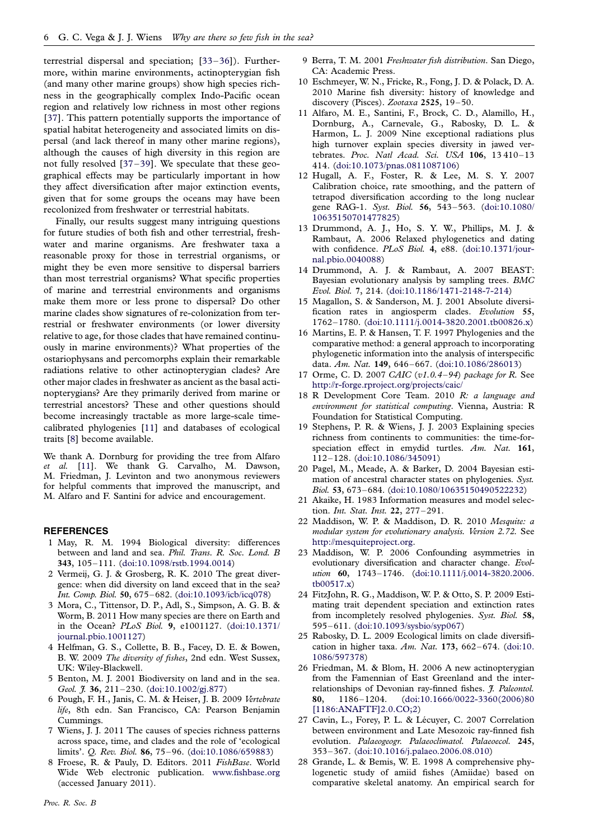<span id="page-5-0"></span>terrestrial dispersal and speciation; [[33](#page-6-0)–[36](#page-6-0)]). Furthermore, within marine environments, actinopterygian fish (and many other marine groups) show high species richness in the geographically complex Indo-Pacific ocean region and relatively low richness in most other regions [\[37\]](#page-6-0). This pattern potentially supports the importance of spatial habitat heterogeneity and associated limits on dispersal (and lack thereof in many other marine regions), although the causes of high diversity in this region are not fully resolved [\[37](#page-6-0)–[39\]](#page-6-0). We speculate that these geographical effects may be particularly important in how they affect diversification after major extinction events, given that for some groups the oceans may have been recolonized from freshwater or terrestrial habitats.

Finally, our results suggest many intriguing questions for future studies of both fish and other terrestrial, freshwater and marine organisms. Are freshwater taxa a reasonable proxy for those in terrestrial organisms, or might they be even more sensitive to dispersal barriers than most terrestrial organisms? What specific properties of marine and terrestrial environments and organisms make them more or less prone to dispersal? Do other marine clades show signatures of re-colonization from terrestrial or freshwater environments (or lower diversity relative to age, for those clades that have remained continuously in marine environments)? What properties of the ostariophysans and percomorphs explain their remarkable radiations relative to other actinopterygian clades? Are other major clades in freshwater as ancient as the basal actinopterygians? Are they primarily derived from marine or terrestrial ancestors? These and other questions should become increasingly tractable as more large-scale timecalibrated phylogenies [11] and databases of ecological traits [8] become available.

We thank A. Dornburg for providing the tree from Alfaro et al. [11]. We thank G. Carvalho, M. Dawson, M. Friedman, J. Levinton and two anonymous reviewers for helpful comments that improved the manuscript, and M. Alfaro and F. Santini for advice and encouragement.

#### **REFERENCES**

- 1 May, R. M. 1994 Biological diversity: differences between and land and sea. Phil. Trans. R. Soc. Lond. B 343, 105–111. ([doi:10.1098/rstb.1994.0014](http://dx.doi.org/10.1098/rstb.1994.0014))
- 2 Vermeij, G. J. & Grosberg, R. K. 2010 The great divergence: when did diversity on land exceed that in the sea? Int. Comp. Biol. 50, 675–682. ([doi:10.1093/icb/icq078\)](http://dx.doi.org/10.1093/icb/icq078)
- 3 Mora, C., Tittensor, D. P., Adl, S., Simpson, A. G. B. & Worm, B. 2011 How many species are there on Earth and in the Ocean? PLoS Biol. 9, e1001127. ([doi:10.1371/](http://dx.doi.org/10.1371/journal.pbio.1001127) [journal.pbio.1001127\)](http://dx.doi.org/10.1371/journal.pbio.1001127)
- 4 Helfman, G. S., Collette, B. B., Facey, D. E. & Bowen, B. W. 2009 The diversity of fishes, 2nd edn. West Sussex, UK: Wiley-Blackwell.
- 5 Benton, M. J. 2001 Biodiversity on land and in the sea. Geol. J. 36, 211–230. [\(doi:10.1002/gj.877](http://dx.doi.org/10.1002/gj.877))
- 6 Pough, F. H., Janis, C. M. & Heiser, J. B. 2009 Vertebrate life, 8th edn. San Francisco, CA: Pearson Benjamin Cummings.
- 7 Wiens, J. J. 2011 The causes of species richness patterns across space, time, and clades and the role of 'ecological limits'. Q. Rev. Biol. 86, 75–96. [\(doi:10.1086/659883\)](http://dx.doi.org/10.1086/659883)
- 8 Froese, R. & Pauly, D. Editors. 2011 FishBase. World Wide Web electronic publication. [www.fishbase.org](http://www.fishbase.org) (accessed January 2011).
- 9 Berra, T. M. 2001 Freshwater fish distribution. San Diego, CA: Academic Press.
- 10 Eschmeyer, W. N., Fricke, R., Fong, J. D. & Polack, D. A. 2010 Marine fish diversity: history of knowledge and discovery (Pisces). Zootaxa 2525, 19–50.
- 11 Alfaro, M. E., Santini, F., Brock, C. D., Alamillo, H., Dornburg, A., Carnevale, G., Rabosky, D. L. & Harmon, L. J. 2009 Nine exceptional radiations plus high turnover explain species diversity in jawed vertebrates. Proc. Natl Acad. Sci. USA 106, 13 410–13 414. [\(doi:10.1073/pnas.0811087106](http://dx.doi.org/10.1073/pnas.0811087106))
- 12 Hugall, A. F., Foster, R. & Lee, M. S. Y. 2007 Calibration choice, rate smoothing, and the pattern of tetrapod diversification according to the long nuclear gene RAG-1. Syst. Biol. 56, 543-563. ([doi:10.1080/](http://dx.doi.org/10.1080/10635150701477825) [10635150701477825\)](http://dx.doi.org/10.1080/10635150701477825)
- 13 Drummond, A. J., Ho, S. Y. W., Phillips, M. J. & Rambaut, A. 2006 Relaxed phylogenetics and dating with confidence. PLoS Biol. 4, e88. ([doi:10.1371/jour](http://dx.doi.org/10.1371/journal.pbio.0040088)[nal.pbio.0040088](http://dx.doi.org/10.1371/journal.pbio.0040088))
- 14 Drummond, A. J. & Rambaut, A. 2007 BEAST: Bayesian evolutionary analysis by sampling trees. BMC Evol. Biol. 7, 214. ([doi:10.1186/1471-2148-7-214\)](http://dx.doi.org/10.1186/1471-2148-7-214)
- 15 Magallon, S. & Sanderson, M. J. 2001 Absolute diversification rates in angiosperm clades. Evolution 55, 1762–1780. [\(doi:10.1111/j.0014-3820.2001.tb00826.x](http://dx.doi.org/10.1111/j.0014-3820.2001.tb00826.x))
- 16 Martins, E. P. & Hansen, T. F. 1997 Phylogenies and the comparative method: a general approach to incorporating phylogenetic information into the analysis of interspecific data. Am. Nat. 149, 646–667. ([doi:10.1086/286013\)](http://dx.doi.org/10.1086/286013)
- 17 Orme, C. D. 2007 CAIC (v1.0.4–94) package for R. See <http://r-forge.rproject.org/projects/caic/>
- 18 R Development Core Team. 2010 R: a language and environment for statistical computing. Vienna, Austria: R Foundation for Statistical Computing.
- 19 Stephens, P. R. & Wiens, J. J. 2003 Explaining species richness from continents to communities: the time-forspeciation effect in emydid turtles. Am. Nat. 161, 112–128. [\(doi:10.1086/345091](http://dx.doi.org/10.1086/345091))
- 20 Pagel, M., Meade, A. & Barker, D. 2004 Bayesian estimation of ancestral character states on phylogenies. Syst. Biol. 53, 673–684. ([doi:10.1080/10635150490522232\)](http://dx.doi.org/10.1080/10635150490522232)
- 21 Akaike, H. 1983 Information measures and model selection. Int. Stat. Inst. 22, 277–291.
- 22 Maddison, W. P. & Maddison, D. R. 2010 Mesquite: a modular system for evolutionary analysis. Version 2.72. See [http://mesquiteproject.org.](http://mesquiteproject.org)
- 23 Maddison, W. P. 2006 Confounding asymmetries in evolutionary diversification and character change. Evolution 60, 1743–1746. [\(doi:10.1111/j.0014-3820.2006.](http://dx.doi.org/10.1111/j.0014-3820.2006.tb00517.x) [tb00517.x](http://dx.doi.org/10.1111/j.0014-3820.2006.tb00517.x))
- 24 FitzJohn, R. G., Maddison, W. P. & Otto, S. P. 2009 Estimating trait dependent speciation and extinction rates from incompletely resolved phylogenies. Syst. Biol. 58, 595–611. [\(doi:10.1093/sysbio/syp067](http://dx.doi.org/10.1093/sysbio/syp067))
- 25 Rabosky, D. L. 2009 Ecological limits on clade diversification in higher taxa. Am. Nat. 173, 662–674. [\(doi:10.](http://dx.doi.org/10.1086/597378) [1086/597378](http://dx.doi.org/10.1086/597378))
- 26 Friedman, M. & Blom, H. 2006 A new actinopterygian from the Famennian of East Greenland and the interrelationships of Devonian ray-finned fishes. *J. Paleontol*. 80, 1186–1204. ([doi:10.1666/0022-3360\(2006\)80](http://dx.doi.org/10.1666/0022-3360(2006)80[1186:ANAFTF]2.0.CO;2) [\[1186:ANAFTF\]2.0.CO;2\)](http://dx.doi.org/10.1666/0022-3360(2006)80[1186:ANAFTF]2.0.CO;2)
- 27 Cavin, L., Forey, P. L. & Lécuyer, C. 2007 Correlation between environment and Late Mesozoic ray-finned fish evolution. Palaeogeogr. Palaeoclimatol. Palaeoecol. 245, 353–367. [\(doi:10.1016/j.palaeo.2006.08.010\)](http://dx.doi.org/10.1016/j.palaeo.2006.08.010)
- 28 Grande, L. & Bemis, W. E. 1998 A comprehensive phylogenetic study of amiid fishes (Amiidae) based on comparative skeletal anatomy. An empirical search for